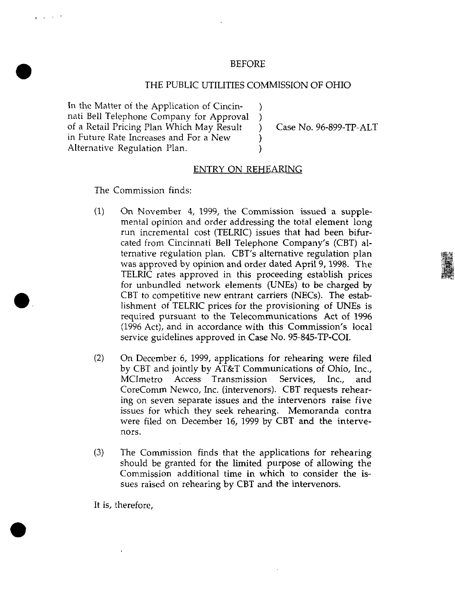## BEFORE

## THE PUBLIC UTILITIES COMMISSION OF OHIO

 $\lambda$  $\lambda$  $\lambda$  $\lambda$  $\lambda$ 

In the Matter of the Application of Cincinnati Bell Telephone Company for Approval of a Retail Pricing Plan Which May Result in Future Rate Increases and For a New Alternative Regulation Plan.

Case No. 96-899-TP-ALT

## ENTRY ON REHEARING

The Commission finds:

and a state

- $(1)$  On November 4, 1999, the Commission issued a supplemental opinion and order addressing the total element long run incremental cost (TELRIC) issues that had been bifurcated from Cincinnati Bell Telephone Company's (CBT) alternative regulation plan. CBT's alternative regulation plan was approved by opinion and order dated April 9,1998. The TELRIC rates approved in this proceeding establish prices for unbundled network elements (UNEs) to be charged by CBT to competitive new entrant carriers (NECs). The establishment of TELRIC prices for the provisioning of UNEs is required pursuant to the Telecommunications Act of 1996 (1996 Act), and in accordance w^ith this Commission's local service guidelines approved in Case No. 95-845-TP-COL
- (2) On December 6, 1999, applications for rehearing were filed by CBT and jointly by AT&T Communications of Ohio, Inc., MCImetro Access Transmission Services, Inc., and CoreComm Newco, Inc. (intervenors). CBT requests rehearing on seven separate issues and the intervenors raise five issues for which they seek rehearing. Memoranda contra were filed on December 16, 1999 by CBT and the intervenors.
- (3) The Commission finds that the applications for rehearing should be granted for the limited purpose of allowing the Commission additional time in which to consider the issues raised on rehearing by CBT and the intervenors.

It is, therefore.